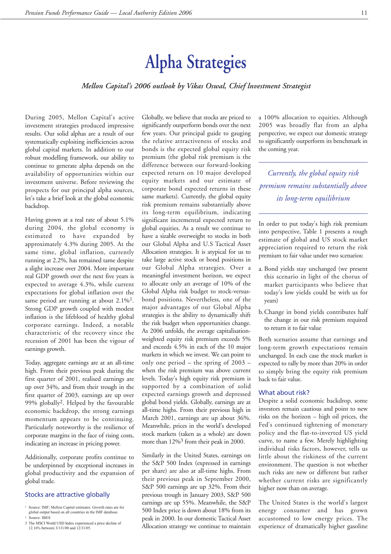# **Alpha Strategies**

# *Mellon Capital's 2006 outlook by Vikas Oswal, Chief lnvestment Strategist*

During 2005, Mellon Capital's active investment strategies produced impressive results. Our solid alphas are a result of our systematically exploiting inefficiencies across global capital markets. In addition to our robust modelling framework, our ability to continue to generate alpha depends on the availability of opportunities within our investment universe. Before reviewing the prospects for our principal alpha sources, let's take a brief look at the global economic backdrop.

Having grown at a real rate of about 5.1% during 2004, the global economy is estimated to have expanded by approximately 4.3% during 2005. At the same time, global inflation, currently running at 2.2%, has remained tame despite a slight increase over 2004. More important real GDP growth over the next five years is expected to average 4.3%, while current expectations for global inflation over the same period are running at about  $2.1\%$ <sup>1</sup>. Strong GDP growth coupled with modest inflation is the lifeblood of healthy global corporate earnings. Indeed, a notable characteristic of the recovery since the recession of 2001 has been the vigour of earnings growth.

Today, aggregate earnings are at an all-time high. From their previous peak during the first quarter of 2001, realised earnings are up over 34%, and from their trough in the first quarter of 2003, earnings are up over 99% globally2. Helped by the favourable economic backdrop, the strong earnings momentum appears to be continuing. Particularly noteworthy is the resilience of corporate margins in the face of rising costs, indicating an increase in pricing power.

Additionally, corporate profits continue to be underpinned by exceptional increases in global productivity and the expansion of global trade.

# Stocks are attractive globally

3 The MSCI World USD Index experienced a price decline of 12.16% between 3/131/00 and 12/31/05.

Globally, we believe that stocks are priced to significantly outperform bonds over the next few years. Our principal guide to gauging the relative attractiveness of stocks and bonds is the expected global equity risk premium (the global risk premium is the difference between our forward-looking expected return on 10 major developed equity markets and our estimate of corporate bond expected returns in these same markets). Currently, the global equity risk premium remains substantially above its long-term equilibrium, indicating significant incremental expected return to global equities. As a result we continue to have a sizable overweight to stocks in both our Global Alpha and U.S Tactical Asset Allocation strategies. It is atypical for us to take large active stock or bond positions in our Global Alpha strategies. Over a meaningful investment horizon, we expect to allocate only an average of 10% of the Global Alpha risk budget to stock-versusbond positions. Nevertheless, one of the major advantages of our Global Alpha strategies is the ability to dynamically shift the risk budget when opportunities change. As 2006 unfolds, the average capitalisationweighted equity risk premium exceeds 5% and exceeds 4.5% in each of the 10 major markets in which we invest. We can point to only one period – the spring of 2003 – when the risk premium was above current levels. Today's high equity risk premium is supported by a combination of solid expected earnings growth and depressed global bond yields. Globally, earnings are at all-time highs. From their previous high in March 2001, earnings are up about 36%. Meanwhile, prices in the world's developed stock markets (taken as a whole) are down more than 12%3 from their peak in 2000.

Similarly in the United States, earnings on the S&P 500 Index (expressed in earnings per share) are also at all-time highs. From their previous peak in September 2000, S&P 500 earnings are up 32%. From their previous trough in January 2003, S&P 500 earnings are up 55%. Meanwhile, the S&P 500 Index price is down about 18% from its peak in 2000. In our domestic Tactical Asset Allocation strategy we continue to maintain a 100% allocation to equities. Although 2005 was broadly flat from an alpha perspective, we expect our domestic strategy to significantly outperform its benchmark in the coming year.

*Currently, the global equity risk premium remains substantially above its long-term equilibrium*

In order to put today's high risk premium into perspective, Table 1 presents a rough estimate of global and US stock market appreciation required to return the risk premium to fair value under two scenarios:

- a. Bond yields stay unchanged (we present this scenario in light of the chorus of market participants who believe that today's low yields could be with us for years)
- b. Change in bond yields contributes half the change in our risk premium required to return it to fair value

Both scenarios assume that earnings and long-term growth expectations remain unchanged. In each case the stock market is expected to rally by more than 20% in order to simply bring the equity risk premium back to fair value.

#### What about risk?

Despite a solid economic backdrop, some investors remain cautious and point to new risks on the horizon – high oil prices, the Fed's continued tightening of monetary policy and the flat-to-inverted US yield curve, to name a few. Merely highlighting individual risks factors, however, tells us little about the riskiness of the current environment. The question is not whether such risks are new or different but rather whether current risks are significantly higher now than on average.

The United States is the world's largest energy consumer and has grown accustomed to low energy prices. The experience of dramatically higher gasoline

<sup>1</sup> Source: IMF; Mellon Capital estimates. Growth rates are for global output based on all countries in the IMF database. <sup>2</sup> Source: IBES